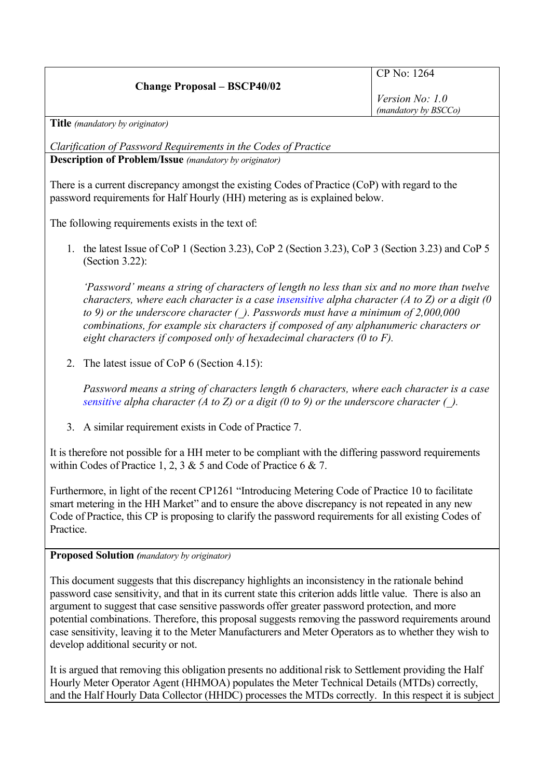## **Change Proposal – BSCP40/02**

## CP No: 1264

*Version No: 1.0 (mandatory by BSCCo)*

**Title** *(mandatory by originator)*

*Clarification of Password Requirements in the Codes of Practice* **Description of Problem/Issue** *(mandatory by originator)*

There is a current discrepancy amongst the existing Codes of Practice (CoP) with regard to the password requirements for Half Hourly (HH) metering as is explained below.

The following requirements exists in the text of:

1. the latest Issue of CoP 1 (Section 3.23), CoP 2 (Section 3.23), CoP 3 (Section 3.23) and CoP 5 (Section 3.22):

*'Password' means a string of characters of length no less than six and no more than twelve characters, where each character is a case insensitive alpha character (A to Z) or a digit (0 to 9) or the underscore character (\_). Passwords must have a minimum of 2,000,000 combinations, for example six characters if composed of any alphanumeric characters or eight characters if composed only of hexadecimal characters (0 to F).*

2. The latest issue of CoP 6 (Section 4.15):

*Password means a string of characters length 6 characters, where each character is a case sensitive alpha character (A to Z) or a digit (0 to 9) or the underscore character (\_).*

3. A similar requirement exists in Code of Practice 7.

It is therefore not possible for a HH meter to be compliant with the differing password requirements within Codes of Practice 1, 2, 3 & 5 and Code of Practice 6 & 7.

Furthermore, in light of the recent CP1261 "Introducing Metering Code of Practice 10 to facilitate smart metering in the HH Market" and to ensure the above discrepancy is not repeated in any new Code of Practice, this CP is proposing to clarify the password requirements for all existing Codes of Practice.

## **Proposed Solution** *(mandatory by originator)*

This document suggests that this discrepancy highlights an inconsistency in the rationale behind password case sensitivity, and that in its current state this criterion adds little value. There is also an argument to suggest that case sensitive passwords offer greater password protection, and more potential combinations. Therefore, this proposal suggests removing the password requirements around case sensitivity, leaving it to the Meter Manufacturers and Meter Operators as to whether they wish to develop additional security or not.

It is argued that removing this obligation presents no additional risk to Settlement providing the Half Hourly Meter Operator Agent (HHMOA) populates the Meter Technical Details (MTDs) correctly, and the Half Hourly Data Collector (HHDC) processes the MTDs correctly. In this respect it is subject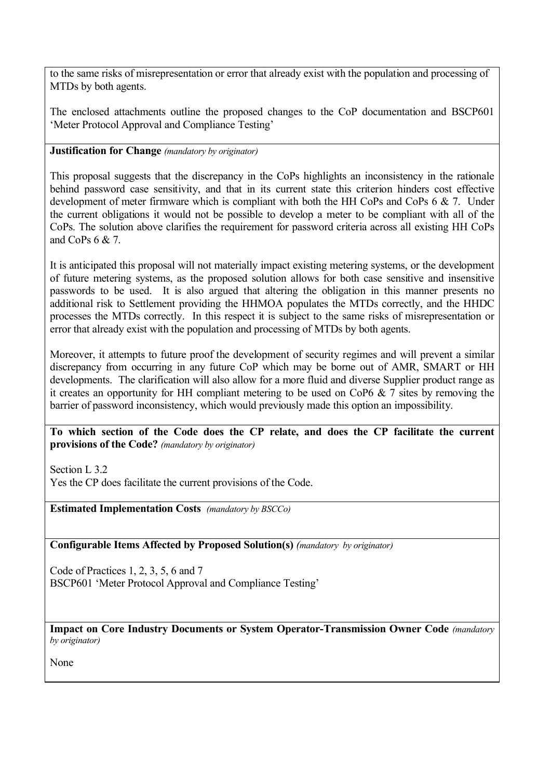to the same risks of misrepresentation or error that already exist with the population and processing of MTDs by both agents.

The enclosed attachments outline the proposed changes to the CoP documentation and BSCP601 'Meter Protocol Approval and Compliance Testing'

## **Justification for Change** *(mandatory by originator)*

This proposal suggests that the discrepancy in the CoPs highlights an inconsistency in the rationale behind password case sensitivity, and that in its current state this criterion hinders cost effective development of meter firmware which is compliant with both the HH CoPs and CoPs 6 & 7. Under the current obligations it would not be possible to develop a meter to be compliant with all of the CoPs. The solution above clarifies the requirement for password criteria across all existing HH CoPs and  $C_0P_S$  6 & 7.

It is anticipated this proposal will not materially impact existing metering systems, or the development of future metering systems, as the proposed solution allows for both case sensitive and insensitive passwords to be used. It is also argued that altering the obligation in this manner presents no additional risk to Settlement providing the HHMOA populates the MTDs correctly, and the HHDC processes the MTDs correctly. In this respect it is subject to the same risks of misrepresentation or error that already exist with the population and processing of MTDs by both agents.

Moreover, it attempts to future proof the development of security regimes and will prevent a similar discrepancy from occurring in any future CoP which may be borne out of AMR, SMART or HH developments. The clarification will also allow for a more fluid and diverse Supplier product range as it creates an opportunity for HH compliant metering to be used on CoP6 & 7 sites by removing the barrier of password inconsistency, which would previously made this option an impossibility.

**To which section of the Code does the CP relate, and does the CP facilitate the current provisions of the Code?** *(mandatory by originator)*

Section L 3.2

Yes the CP does facilitate the current provisions of the Code.

**Estimated Implementation Costs** *(mandatory by BSCCo)*

**Configurable Items Affected by Proposed Solution(s)** *(mandatory by originator)*

Code of Practices 1, 2, 3, 5, 6 and 7 BSCP601 'Meter Protocol Approval and Compliance Testing'

**Impact on Core Industry Documents or System Operator-Transmission Owner Code** *(mandatory by originator)*

None